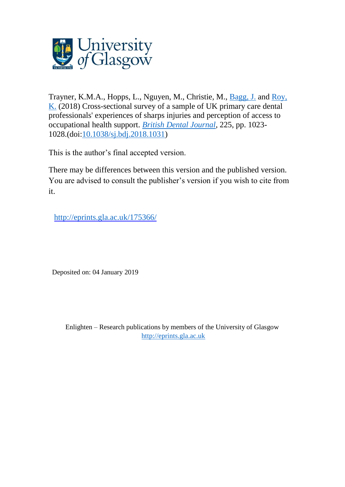

Trayner, K.M.A., Hopps, L., Nguyen, M., Christie, M., [Bagg, J.](http://eprints.gla.ac.uk/view/author/6084.html) and [Roy,](http://eprints.gla.ac.uk/view/author/8034.html)  [K.](http://eprints.gla.ac.uk/view/author/8034.html) (2018) Cross-sectional survey of a sample of UK primary care dental professionals' experiences of sharps injuries and perception of access to occupational health support. *[British Dental Journal](http://eprints.gla.ac.uk/view/journal_volume/British_Dental_Journal.html)*, 225, pp. 1023- 1028.(doi[:10.1038/sj.bdj.2018.1031\)](http://dx.doi.org/10.1038/sj.bdj.2018.1031)

This is the author's final accepted version.

There may be differences between this version and the published version. You are advised to consult the publisher's version if you wish to cite from it.

http://eprints.gla.ac.uk/175366/

Deposited on: 04 January 2019

Enlighten – Research publications by members of the University of Glasgow [http://eprints.gla.ac.uk](http://eprints.gla.ac.uk/)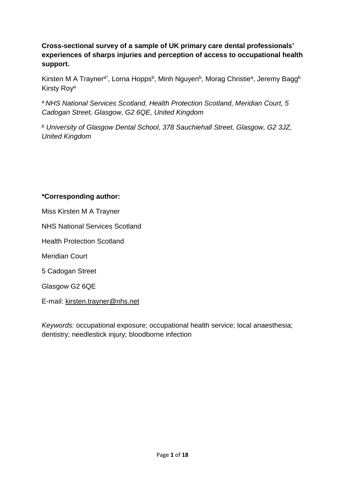**Cross-sectional survey of a sample of UK primary care dental professionals' experiences of sharps injuries and perception of access to occupational health support.**

Kirsten M A Trayner<sup>a\*</sup>, Lorna Hopps<sup>b</sup>, Minh Nguyen<sup>b</sup>, Morag Christie<sup>a</sup>, Jeremy Bagg<sup>b</sup> Kirsty Roy<sup>a</sup>

*<sup>a</sup>NHS National Services Scotland, Health Protection Scotland, Meridian Court, 5 Cadogan Street, Glasgow, G2 6QE, United Kingdom*

*<sup>b</sup> University of Glasgow Dental School, 378 Sauchiehall Street, Glasgow, G2 3JZ, United Kingdom*

### **\*Corresponding author:**

Miss Kirsten M A Trayner

NHS National Services Scotland

Health Protection Scotland

Meridian Court

5 Cadogan Street

Glasgow G2 6QE

E-mail: [kirsten.trayner@nhs.net](mailto:kirsten.trayner@nhs.net)

*Keywords:* occupational exposure; occupational health service; local anaesthesia; dentistry; needlestick injury; bloodborne infection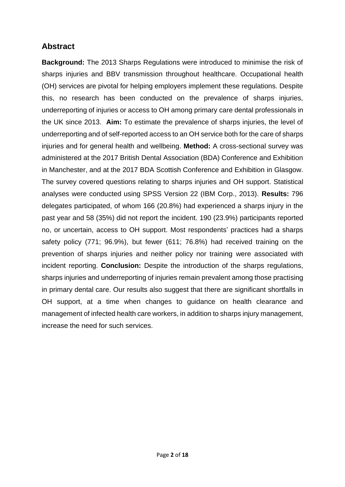# **Abstract**

**Background:** The 2013 Sharps Regulations were introduced to minimise the risk of sharps injuries and BBV transmission throughout healthcare. Occupational health (OH) services are pivotal for helping employers implement these regulations. Despite this, no research has been conducted on the prevalence of sharps injuries, underreporting of injuries or access to OH among primary care dental professionals in the UK since 2013. **Aim:** To estimate the prevalence of sharps injuries, the level of underreporting and of self-reported access to an OH service both for the care of sharps injuries and for general health and wellbeing. **Method:** A cross-sectional survey was administered at the 2017 British Dental Association (BDA) Conference and Exhibition in Manchester, and at the 2017 BDA Scottish Conference and Exhibition in Glasgow. The survey covered questions relating to sharps injuries and OH support. Statistical analyses were conducted using SPSS Version 22 (IBM Corp., 2013). **Results:** 796 delegates participated, of whom 166 (20.8%) had experienced a sharps injury in the past year and 58 (35%) did not report the incident. 190 (23.9%) participants reported no, or uncertain, access to OH support. Most respondents' practices had a sharps safety policy (771; 96.9%), but fewer (611; 76.8%) had received training on the prevention of sharps injuries and neither policy nor training were associated with incident reporting. **Conclusion:** Despite the introduction of the sharps regulations, sharps injuries and underreporting of injuries remain prevalent among those practising in primary dental care. Our results also suggest that there are significant shortfalls in OH support, at a time when changes to guidance on health clearance and management of infected health care workers, in addition to sharps injury management, increase the need for such services.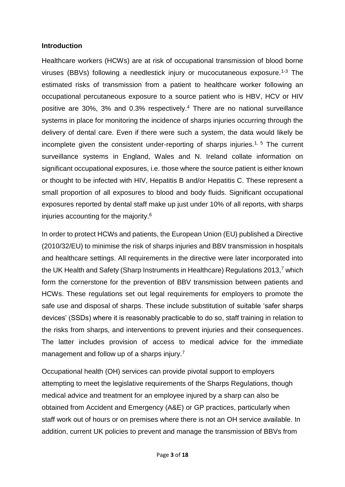#### **Introduction**

Healthcare workers (HCWs) are at risk of occupational transmission of blood borne viruses (BBVs) following a needlestick injury or mucocutaneous exposure.1-3 The estimated risks of transmission from a patient to healthcare worker following an occupational percutaneous exposure to a source patient who is HBV, HCV or HIV positive are 30%, 3% and 0.3% respectively.<sup>4</sup> There are no national surveillance systems in place for monitoring the incidence of sharps injuries occurring through the delivery of dental care. Even if there were such a system, the data would likely be incomplete given the consistent under-reporting of sharps injuries.<sup>1, 5</sup> The current surveillance systems in England, Wales and N. Ireland collate information on significant occupational exposures, i.e. those where the source patient is either known or thought to be infected with HIV, Hepatitis B and/or Hepatitis C. These represent a small proportion of all exposures to blood and body fluids. Significant occupational exposures reported by dental staff make up just under 10% of all reports, with sharps injuries accounting for the majority.<sup>6</sup>

In order to protect HCWs and patients, the European Union (EU) published a Directive (2010/32/EU) to minimise the risk of sharps injuries and BBV transmission in hospitals and healthcare settings. All requirements in the directive were later incorporated into the UK Health and Safety (Sharp Instruments in Healthcare) Regulations 2013,<sup>7</sup> which form the cornerstone for the prevention of BBV transmission between patients and HCWs. These regulations set out legal requirements for employers to promote the safe use and disposal of sharps. These include substitution of suitable 'safer sharps devices' (SSDs) where it is reasonably practicable to do so, staff training in relation to the risks from sharps, and interventions to prevent injuries and their consequences. The latter includes provision of access to medical advice for the immediate management and follow up of a sharps injury.<sup>7</sup>

Occupational health (OH) services can provide pivotal support to employers attempting to meet the legislative requirements of the Sharps Regulations, though medical advice and treatment for an employee injured by a sharp can also be obtained from Accident and Emergency (A&E) or GP practices, particularly when staff work out of hours or on premises where there is not an OH service available. In addition, current UK policies to prevent and manage the transmission of BBVs from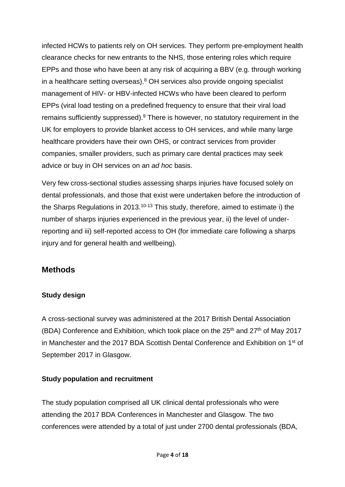infected HCWs to patients rely on OH services. They perform pre-employment health clearance checks for new entrants to the NHS, those entering roles which require EPPs and those who have been at any risk of acquiring a BBV (e.g. through working in a healthcare setting overseas). <sup>8</sup> OH services also provide ongoing specialist management of HIV- or HBV-infected HCWs who have been cleared to perform EPPs (viral load testing on a predefined frequency to ensure that their viral load remains sufficiently suppressed).<sup>9</sup> There is however, no statutory requirement in the UK for employers to provide blanket access to OH services, and while many large healthcare providers have their own OHS, or contract services from provider companies, smaller providers, such as primary care dental practices may seek advice or buy in OH services on an *ad hoc* basis.

Very few cross-sectional studies assessing sharps injuries have focused solely on dental professionals, and those that exist were undertaken before the introduction of the Sharps Regulations in 2013.<sup>10-13</sup> This study, therefore, aimed to estimate i) the number of sharps injuries experienced in the previous year, ii) the level of underreporting and iii) self-reported access to OH (for immediate care following a sharps injury and for general health and wellbeing).

# **Methods**

# **Study design**

A cross-sectional survey was administered at the 2017 British Dental Association (BDA) Conference and Exhibition, which took place on the  $25<sup>th</sup>$  and  $27<sup>th</sup>$  of May 2017 in Manchester and the 2017 BDA Scottish Dental Conference and Exhibition on 1<sup>st</sup> of September 2017 in Glasgow.

# **Study population and recruitment**

The study population comprised all UK clinical dental professionals who were attending the 2017 BDA Conferences in Manchester and Glasgow. The two conferences were attended by a total of just under 2700 dental professionals (BDA,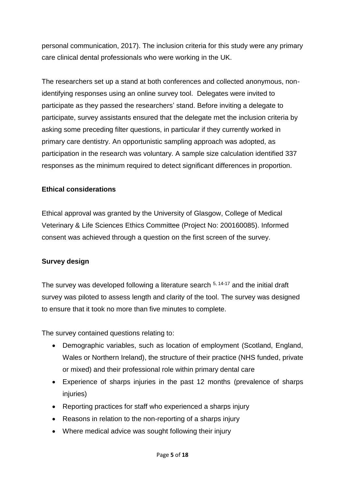personal communication, 2017). The inclusion criteria for this study were any primary care clinical dental professionals who were working in the UK.

The researchers set up a stand at both conferences and collected anonymous, nonidentifying responses using an online survey tool. Delegates were invited to participate as they passed the researchers' stand. Before inviting a delegate to participate, survey assistants ensured that the delegate met the inclusion criteria by asking some preceding filter questions, in particular if they currently worked in primary care dentistry. An opportunistic sampling approach was adopted, as participation in the research was voluntary. A sample size calculation identified 337 responses as the minimum required to detect significant differences in proportion.

### **Ethical considerations**

Ethical approval was granted by the University of Glasgow, College of Medical Veterinary & Life Sciences Ethics Committee (Project No: 200160085). Informed consent was achieved through a question on the first screen of the survey.

#### **Survey design**

The survey was developed following a literature search <sup>5, 14-17</sup> and the initial draft survey was piloted to assess length and clarity of the tool. The survey was designed to ensure that it took no more than five minutes to complete.

The survey contained questions relating to:

- Demographic variables, such as location of employment (Scotland, England, Wales or Northern Ireland), the structure of their practice (NHS funded, private or mixed) and their professional role within primary dental care
- Experience of sharps injuries in the past 12 months (prevalence of sharps injuries)
- Reporting practices for staff who experienced a sharps injury
- Reasons in relation to the non-reporting of a sharps injury
- Where medical advice was sought following their injury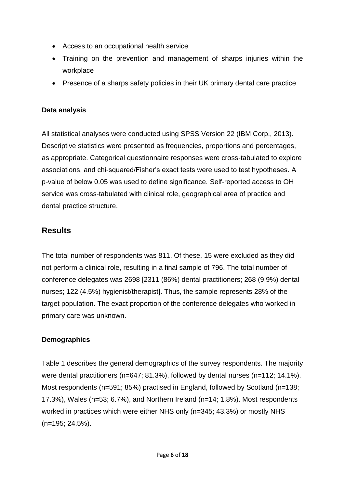- Access to an occupational health service
- Training on the prevention and management of sharps injuries within the workplace
- Presence of a sharps safety policies in their UK primary dental care practice

#### **Data analysis**

All statistical analyses were conducted using SPSS Version 22 (IBM Corp., 2013). Descriptive statistics were presented as frequencies, proportions and percentages, as appropriate. Categorical questionnaire responses were cross-tabulated to explore associations, and chi-squared/Fisher's exact tests were used to test hypotheses. A p-value of below 0.05 was used to define significance. Self-reported access to OH service was cross-tabulated with clinical role, geographical area of practice and dental practice structure.

### **Results**

The total number of respondents was 811. Of these, 15 were excluded as they did not perform a clinical role, resulting in a final sample of 796. The total number of conference delegates was 2698 [2311 (86%) dental practitioners; 268 (9.9%) dental nurses; 122 (4.5%) hygienist/therapist]. Thus, the sample represents 28% of the target population. The exact proportion of the conference delegates who worked in primary care was unknown.

#### **Demographics**

Table 1 describes the general demographics of the survey respondents. The majority were dental practitioners (n=647; 81.3%), followed by dental nurses (n=112; 14.1%). Most respondents (n=591; 85%) practised in England, followed by Scotland (n=138; 17.3%), Wales (n=53; 6.7%), and Northern Ireland (n=14; 1.8%). Most respondents worked in practices which were either NHS only (n=345; 43.3%) or mostly NHS (n=195; 24.5%).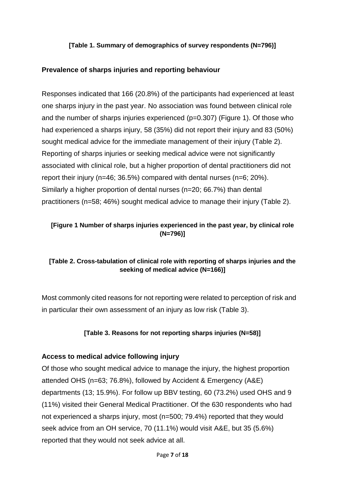#### **[Table 1. Summary of demographics of survey respondents (N=796)]**

#### **Prevalence of sharps injuries and reporting behaviour**

Responses indicated that 166 (20.8%) of the participants had experienced at least one sharps injury in the past year. No association was found between clinical role and the number of sharps injuries experienced (p=0.307) (Figure 1). Of those who had experienced a sharps injury, 58 (35%) did not report their injury and 83 (50%) sought medical advice for the immediate management of their injury (Table 2). Reporting of sharps injuries or seeking medical advice were not significantly associated with clinical role, but a higher proportion of dental practitioners did not report their injury (n=46; 36.5%) compared with dental nurses (n=6; 20%). Similarly a higher proportion of dental nurses (n=20; 66.7%) than dental practitioners (n=58; 46%) sought medical advice to manage their injury (Table 2).

#### **[Figure 1 Number of sharps injuries experienced in the past year, by clinical role (N=796)]**

#### **[Table 2. Cross-tabulation of clinical role with reporting of sharps injuries and the seeking of medical advice (N=166)]**

Most commonly cited reasons for not reporting were related to perception of risk and in particular their own assessment of an injury as low risk (Table 3).

#### **[Table 3. Reasons for not reporting sharps injuries (N=58)]**

#### **Access to medical advice following injury**

Of those who sought medical advice to manage the injury, the highest proportion attended OHS (n=63; 76.8%), followed by Accident & Emergency (A&E) departments (13; 15.9%). For follow up BBV testing, 60 (73.2%) used OHS and 9 (11%) visited their General Medical Practitioner. Of the 630 respondents who had not experienced a sharps injury, most (n=500; 79.4%) reported that they would seek advice from an OH service, 70 (11.1%) would visit A&E, but 35 (5.6%) reported that they would not seek advice at all.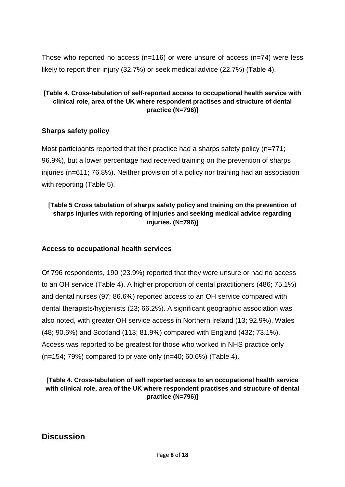Those who reported no access (n=116) or were unsure of access (n=74) were less likely to report their injury (32.7%) or seek medical advice (22.7%) (Table 4).

#### **[Table 4. Cross-tabulation of self-reported access to occupational health service with clinical role, area of the UK where respondent practises and structure of dental practice (N=796)]**

### **Sharps safety policy**

Most participants reported that their practice had a sharps safety policy (n=771; 96.9%), but a lower percentage had received training on the prevention of sharps injuries (n=611; 76.8%). Neither provision of a policy nor training had an association with reporting (Table 5).

#### **[Table 5 Cross tabulation of sharps safety policy and training on the prevention of sharps injuries with reporting of injuries and seeking medical advice regarding injuries. (N=796)]**

#### **Access to occupational health services**

Of 796 respondents, 190 (23.9%) reported that they were unsure or had no access to an OH service (Table 4). A higher proportion of dental practitioners (486; 75.1%) and dental nurses (97; 86.6%) reported access to an OH service compared with dental therapists/hygienists (23; 66.2%). A significant geographic association was also noted, with greater OH service access in Northern Ireland (13; 92.9%), Wales (48; 90.6%) and Scotland (113; 81.9%) compared with England (432; 73.1%). Access was reported to be greatest for those who worked in NHS practice only (n=154; 79%) compared to private only (n=40; 60.6%) (Table 4).

**[Table 4. Cross-tabulation of self reported access to an occupational health service with clinical role, area of the UK where respondent practises and structure of dental practice (N=796)]**

# **Discussion**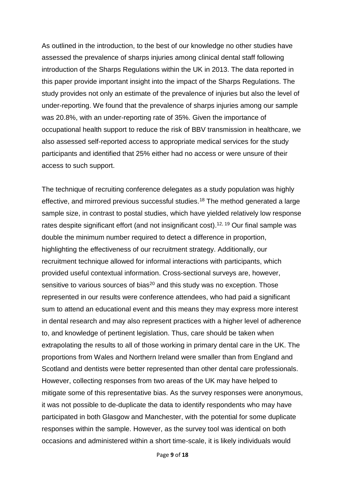As outlined in the introduction, to the best of our knowledge no other studies have assessed the prevalence of sharps injuries among clinical dental staff following introduction of the Sharps Regulations within the UK in 2013. The data reported in this paper provide important insight into the impact of the Sharps Regulations. The study provides not only an estimate of the prevalence of injuries but also the level of under-reporting. We found that the prevalence of sharps injuries among our sample was 20.8%, with an under-reporting rate of 35%. Given the importance of occupational health support to reduce the risk of BBV transmission in healthcare, we also assessed self-reported access to appropriate medical services for the study participants and identified that 25% either had no access or were unsure of their access to such support.

The technique of recruiting conference delegates as a study population was highly effective, and mirrored previous successful studies.<sup>18</sup> The method generated a large sample size, in contrast to postal studies, which have yielded relatively low response rates despite significant effort (and not insignificant cost).<sup>12, 19</sup> Our final sample was double the minimum number required to detect a difference in proportion, highlighting the effectiveness of our recruitment strategy. Additionally, our recruitment technique allowed for informal interactions with participants, which provided useful contextual information. Cross-sectional surveys are, however, sensitive to various sources of bias<sup>20</sup> and this study was no exception. Those represented in our results were conference attendees, who had paid a significant sum to attend an educational event and this means they may express more interest in dental research and may also represent practices with a higher level of adherence to, and knowledge of pertinent legislation. Thus, care should be taken when extrapolating the results to all of those working in primary dental care in the UK. The proportions from Wales and Northern Ireland were smaller than from England and Scotland and dentists were better represented than other dental care professionals. However, collecting responses from two areas of the UK may have helped to mitigate some of this representative bias. As the survey responses were anonymous, it was not possible to de-duplicate the data to identify respondents who may have participated in both Glasgow and Manchester, with the potential for some duplicate responses within the sample. However, as the survey tool was identical on both occasions and administered within a short time-scale, it is likely individuals would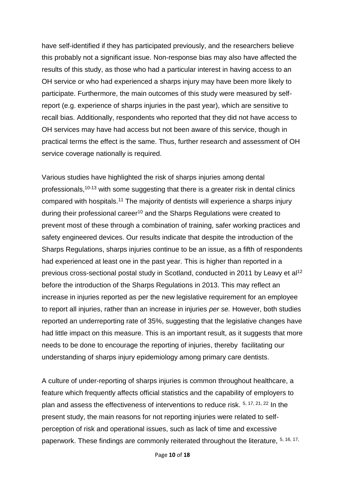have self-identified if they has participated previously, and the researchers believe this probably not a significant issue. Non-response bias may also have affected the results of this study, as those who had a particular interest in having access to an OH service or who had experienced a sharps injury may have been more likely to participate. Furthermore, the main outcomes of this study were measured by selfreport (e.g. experience of sharps injuries in the past year), which are sensitive to recall bias. Additionally, respondents who reported that they did not have access to OH services may have had access but not been aware of this service, though in practical terms the effect is the same. Thus, further research and assessment of OH service coverage nationally is required.

Various studies have highlighted the risk of sharps injuries among dental professionals,10-13 with some suggesting that there is a greater risk in dental clinics compared with hospitals.<sup>11</sup> The majority of dentists will experience a sharps injury during their professional career<sup>10</sup> and the Sharps Regulations were created to prevent most of these through a combination of training, safer working practices and safety engineered devices. Our results indicate that despite the introduction of the Sharps Regulations, sharps injuries continue to be an issue, as a fifth of respondents had experienced at least one in the past year. This is higher than reported in a previous cross-sectional postal study in Scotland, conducted in 2011 by Leavy et al<sup>12</sup> before the introduction of the Sharps Regulations in 2013. This may reflect an increase in injuries reported as per the new legislative requirement for an employee to report all injuries, rather than an increase in injuries *per se.* However, both studies reported an underreporting rate of 35%, suggesting that the legislative changes have had little impact on this measure. This is an important result, as it suggests that more needs to be done to encourage the reporting of injuries, thereby facilitating our understanding of sharps injury epidemiology among primary care dentists.

A culture of under-reporting of sharps injuries is common throughout healthcare, a feature which frequently affects official statistics and the capability of employers to plan and assess the effectiveness of interventions to reduce risk. 5, 17, 21, 22 In the present study, the main reasons for not reporting injuries were related to selfperception of risk and operational issues, such as lack of time and excessive paperwork. These findings are commonly reiterated throughout the literature, <sup>5, 16, 17,</sup>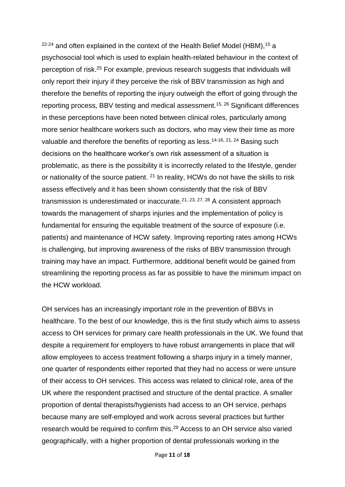$22-24$  and often explained in the context of the Health Belief Model (HBM),  $15$  a psychosocial tool which is used to explain health-related behaviour in the context of perception of risk.<sup>25</sup> For example, previous research suggests that individuals will only report their injury if they perceive the risk of BBV transmission as high and therefore the benefits of reporting the injury outweigh the effort of going through the reporting process, BBV testing and medical assessment.15, 26 Significant differences in these perceptions have been noted between clinical roles, particularly among more senior healthcare workers such as doctors, who may view their time as more valuable and therefore the benefits of reporting as less.<sup>14-16, 21, 24</sup> Basing such decisions on the healthcare worker's own risk assessment of a situation is problematic, as there is the possibility it is incorrectly related to the lifestyle, gender or nationality of the source patient. <sup>21</sup> In reality, HCWs do not have the skills to risk assess effectively and it has been shown consistently that the risk of BBV transmission is underestimated or inaccurate.<sup>21, 23, 27, 28</sup> A consistent approach towards the management of sharps injuries and the implementation of policy is fundamental for ensuring the equitable treatment of the source of exposure (i.e. patients) and maintenance of HCW safety. Improving reporting rates among HCWs is challenging, but improving awareness of the risks of BBV transmission through training may have an impact. Furthermore, additional benefit would be gained from streamlining the reporting process as far as possible to have the minimum impact on the HCW workload.

OH services has an increasingly important role in the prevention of BBVs in healthcare. To the best of our knowledge, this is the first study which aims to assess access to OH services for primary care health professionals in the UK. We found that despite a requirement for employers to have robust arrangements in place that will allow employees to access treatment following a sharps injury in a timely manner, one quarter of respondents either reported that they had no access or were unsure of their access to OH services. This access was related to clinical role, area of the UK where the respondent practised and structure of the dental practice. A smaller proportion of dental therapists/hygienists had access to an OH service, perhaps because many are self-employed and work across several practices but further research would be required to confirm this.<sup>29</sup> Access to an OH service also varied geographically, with a higher proportion of dental professionals working in the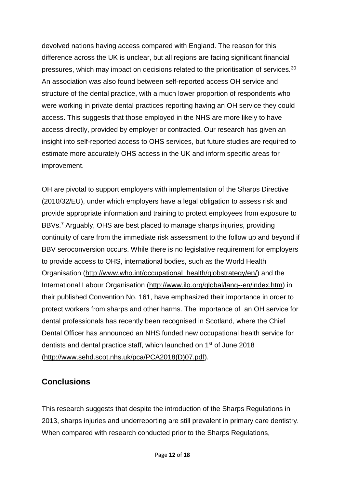devolved nations having access compared with England. The reason for this difference across the UK is unclear, but all regions are facing significant financial pressures, which may impact on decisions related to the prioritisation of services.<sup>30</sup> An association was also found between self-reported access OH service and structure of the dental practice, with a much lower proportion of respondents who were working in private dental practices reporting having an OH service they could access. This suggests that those employed in the NHS are more likely to have access directly, provided by employer or contracted. Our research has given an insight into self-reported access to OHS services, but future studies are required to estimate more accurately OHS access in the UK and inform specific areas for improvement.

OH are pivotal to support employers with implementation of the Sharps Directive (2010/32/EU), under which employers have a legal obligation to assess risk and provide appropriate information and training to protect employees from exposure to BBVs. <sup>7</sup> Arguably, OHS are best placed to manage sharps injuries, providing continuity of care from the immediate risk assessment to the follow up and beyond if BBV seroconversion occurs. While there is no legislative requirement for employers to provide access to OHS, international bodies, such as the World Health Organisation [\(http://www.who.int/occupational\\_health/globstrategy/en/\)](http://www.who.int/occupational_health/globstrategy/en/) and the International Labour Organisation [\(http://www.ilo.org/global/lang--en/index.htm\)](http://www.ilo.org/global/lang--en/index.htm) in their published Convention No. 161, have emphasized their importance in order to protect workers from sharps and other harms. The importance of an OH service for dental professionals has recently been recognised in Scotland, where the Chief Dental Officer has announced an NHS funded new occupational health service for dentists and dental practice staff, which launched on 1<sup>st</sup> of June 2018 [\(http://www.sehd.scot.nhs.uk/pca/PCA2018\(D\)07.pdf\)](http://www.sehd.scot.nhs.uk/pca/PCA2018(D)07.pdf).

# **Conclusions**

This research suggests that despite the introduction of the Sharps Regulations in 2013, sharps injuries and underreporting are still prevalent in primary care dentistry. When compared with research conducted prior to the Sharps Regulations,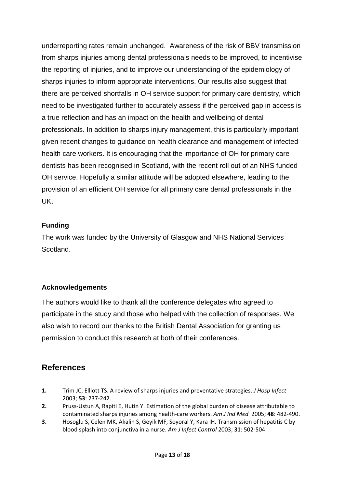underreporting rates remain unchanged. Awareness of the risk of BBV transmission from sharps injuries among dental professionals needs to be improved, to incentivise the reporting of injuries, and to improve our understanding of the epidemiology of sharps injuries to inform appropriate interventions. Our results also suggest that there are perceived shortfalls in OH service support for primary care dentistry, which need to be investigated further to accurately assess if the perceived gap in access is a true reflection and has an impact on the health and wellbeing of dental professionals. In addition to sharps injury management, this is particularly important given recent changes to guidance on health clearance and management of infected health care workers. It is encouraging that the importance of OH for primary care dentists has been recognised in Scotland, with the recent roll out of an NHS funded OH service. Hopefully a similar attitude will be adopted elsewhere, leading to the provision of an efficient OH service for all primary care dental professionals in the UK.

#### **Funding**

The work was funded by the University of Glasgow and NHS National Services Scotland.

#### **Acknowledgements**

The authors would like to thank all the conference delegates who agreed to participate in the study and those who helped with the collection of responses. We also wish to record our thanks to the British Dental Association for granting us permission to conduct this research at both of their conferences.

# **References**

- **1.** Trim JC, Elliott TS. A review of sharps injuries and preventative strategies. *J Hosp Infect*  2003; **53**: 237-242.
- **2.** Pruss-Ustun A, Rapiti E, Hutin Y. Estimation of the global burden of disease attributable to contaminated sharps injuries among health-care workers. *Am J Ind Med* 2005; **48**: 482-490.
- **3.** Hosoglu S, Celen MK, Akalin S, Geyik MF, Soyoral Y, Kara IH. Transmission of hepatitis C by blood splash into conjunctiva in a nurse. *Am J Infect Control* 2003; **31**: 502-504.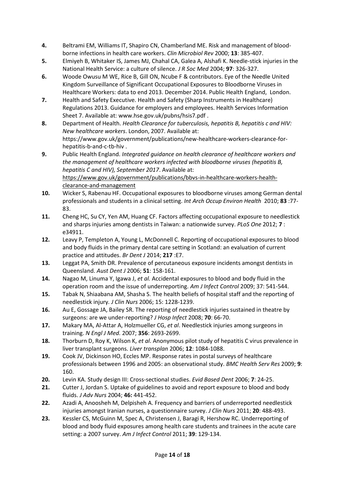- **4.** Beltrami EM, Williams IT, Shapiro CN, Chamberland ME. Risk and management of bloodborne infections in health care workers. *Clin Microbiol Rev* 2000; **13**: 385-407.
- **5.** Elmiyeh B, Whitaker IS, James MJ, Chahal CA, Galea A, Alshafi K. Needle-stick injuries in the National Health Service: a culture of silence. *J R Soc Med* 2004; **97**: 326-327.
- **6.** Woode Owusu M WE, Rice B, Gill ON, Ncube F & contributors. Eye of the Needle United Kingdom Surveillance of Significant Occupational Exposures to Bloodborne Viruses in Healthcare Workers: data to end 2013. December 2014. Public Health England, London.
- **7.** Health and Safety Executive. Health and Safety (Sharp Instruments in Healthcare) Regulations 2013. Guidance for employers and employees. Health Services Information Sheet 7. Available at: www.hse.gov.uk/pubns/hsis7.pdf .
- **8.** Department of Health. *Health Clearance for tuberculosis, hepatitis B, hepatitis c and HIV: New healthcare workers*. London, 2007. Available at: https://www.gov.uk/government/publications/new-healthcare-workers-clearance-forhepatitis-b-and-c-tb-hiv .
- **9.** Public Health England. *Integrated guidance on health clearance of healthcare workers and the management of healthcare workers infected with bloodborne viruses (hepatitis B, hepatitis C and HIV), September 2017*. Available at: [https://www.gov.uk/government/publications/bbvs-in-healthcare-workers-health](https://www.gov.uk/government/publications/bbvs-in-healthcare-workers-health-clearance-and-management)[clearance-and-management](https://www.gov.uk/government/publications/bbvs-in-healthcare-workers-health-clearance-and-management)
- **10.** Wicker S, Rabenau HF. Occupational exposures to bloodborne viruses among German dental professionals and students in a clinical setting. *Int Arch Occup Environ Health* 2010; **83** :77- 83.
- **11.** Cheng HC, Su CY, Yen AM, Huang CF. Factors affecting occupational exposure to needlestick and sharps injuries among dentists in Taiwan: a nationwide survey. *PLoS One* 2012; **7** : e34911.
- **12.** Leavy P, Templeton A, Young L, McDonnell C. Reporting of occupational exposures to blood and body fluids in the primary dental care setting in Scotland: an evaluation of current practice and attitudes. *Br Dent J* 2014; **217** :E7.
- **13.** Leggat PA, Smith DR. Prevalence of percutaneous exposure incidents amongst dentists in Queensland. *Aust Dent J* 2006; **51**: 158-161.
- **14.** Nagao M, Linuma Y, Igawa J, *et al.* Accidental exposures to blood and body fluid in the operation room and the issue of underreporting. *Am J Infect Control* 2009; 37: 541-544.
- **15.** Tabak N, Shiaabana AM, Shasha S. The health beliefs of hospital staff and the reporting of needlestick injury*. J Clin Nurs* 2006; 15: 1228-1239.
- **16.** Au E, Gossage JA, Bailey SR. The reporting of needlestick injuries sustained in theatre by surgeons: are we under-reporting? *J Hosp Infect* 2008; **70**: 66-70.
- **17.** Makary MA, Al-Attar A, Holzmueller CG, *et al*. Needlestick injuries among surgeons in training. *N Engl J Med.* 2007; **356**: 2693-2699.
- **18.** Thorburn D, Roy K, Wilson K, *et al*. Anonymous pilot study of hepatitis C virus prevalence in liver transplant surgeons. *Liver transplan* 2006; **12**: 1084-1088.
- **19.** Cook JV, Dickinson HO, Eccles MP. Response rates in postal surveys of healthcare professionals between 1996 and 2005: an observational study. *BMC Health Serv Res* 2009; **9**: 160.
- **20.** Levin KA. Study design III: Cross-sectional studies. *Evid Based Dent* 2006; **7**: 24-25.
- **21.** Cutter J, Jordan S. Uptake of guidelines to avoid and report exposure to blood and body fluids. *J Adv Nurs* 2004; **46:** 441-452.
- **22.** Azadi A, Anoosheh M, Delpisheh A. Frequency and barriers of underreported needlestick injuries amongst Iranian nurses, a questionnaire survey. *J Clin Nurs* 2011; **20**: 488-493.
- **23.** Kessler CS, McGuinn M, Spec A, Christensen J, Baragi R, Hershow RC. Underreporting of blood and body fluid exposures among health care students and trainees in the acute care setting: a 2007 survey. *Am J Infect Control* 2011; **39**: 129-134.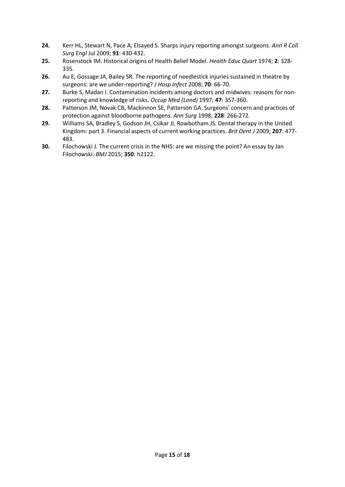- **24.** Kerr HL, Stewart N, Pace A, Elsayed S. Sharps injury reporting amongst surgeons. *Ann R Coll Surg Engl* Jul 2009; **91**: 430-432.
- **25.** Rosenstock IM. Historical origins of Health Belief Model. *Health Educ Quart* 1974; **2**: 328- 335.
- **26.** Au E, Gossage JA, Bailey SR. The reporting of needlestick injuries sustained in theatre by surgeons: are we under-reporting? *J Hosp Infect* 2008; **70**: 66-70.
- **27.** Burke S, Madan I. Contamination incidents among doctors and midwives: reasons for nonreporting and knowledge of risks. *Occup Med (Lond)* 1997; **47**: 357-360.
- **28.** Patterson JM, Novak CB, Mackinnon SE, Patterson GA. Surgeons' concern and practices of protection against bloodborne pathogens. *Ann Surg* 1998; **228**: 266-272.
- **29.** Williams SA, Bradley S, Godson JH, Csikar JI, Rowbotham JS. Dental therapy in the United Kingdom: part 3. Financial aspects of current working practices. *Brit Dent J* 2009; **207**: 477- 483.
- **30.** Filochowski J. The current crisis in the NHS: are we missing the point? An essay by Jan Filochowski. *BMJ* 2015; **350**: h2122.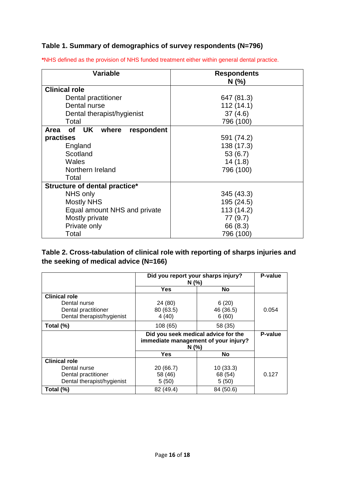### **Table 1. Summary of demographics of survey respondents (N=796)**

| <b>Variable</b>                      | <b>Respondents</b><br>N(% |  |  |
|--------------------------------------|---------------------------|--|--|
| <b>Clinical role</b>                 |                           |  |  |
| Dental practitioner                  | 647 (81.3)                |  |  |
| Dental nurse                         | 112(14.1)                 |  |  |
| Dental therapist/hygienist           | 37(4.6)                   |  |  |
| Total                                | 796 (100)                 |  |  |
| of UK<br>where<br>respondent<br>Area |                           |  |  |
| practises                            | 591 (74.2)                |  |  |
| England                              | 138 (17.3)                |  |  |
| Scotland                             | 53(6.7)                   |  |  |
| Wales                                | 14(1.8)                   |  |  |
| Northern Ireland                     | 796 (100)                 |  |  |
| Total                                |                           |  |  |
| Structure of dental practice*        |                           |  |  |
| NHS only                             | 345(43.3)                 |  |  |
| <b>Mostly NHS</b>                    | 195 (24.5)                |  |  |
| Equal amount NHS and private         | 113 (14.2)                |  |  |
| Mostly private                       | 77 (9.7)                  |  |  |
| Private only                         | 66 (8.3)                  |  |  |
| Total                                | 796 (100)                 |  |  |

**\***NHS defined as the provision of NHS funded treatment either within general dental practice.

### **Table 2. Cross-tabulation of clinical role with reporting of sharps injuries and the seeking of medical advice (N=166)**

|                            | Did you report your sharps injury?<br>N(%)                                          | P-value   |       |
|----------------------------|-------------------------------------------------------------------------------------|-----------|-------|
|                            | Yes                                                                                 | No        |       |
| <b>Clinical role</b>       |                                                                                     |           |       |
| Dental nurse               | 24 (80)                                                                             | 6(20)     |       |
| Dental practitioner        | 80 (63.5)                                                                           | 46 (36.5) | 0.054 |
| Dental therapist/hygienist | 4(40)                                                                               | 6(60)     |       |
| Total (%)                  | 108 (65)                                                                            | 58 (35)   |       |
|                            | Did you seek medical advice for the<br>immediate management of your injury?<br>N(%) | P-value   |       |
|                            | Yes                                                                                 | No        |       |
| <b>Clinical role</b>       |                                                                                     |           |       |
| Dental nurse               | 20 (66.7)                                                                           | 10(33.3)  |       |
| Dental practitioner        | 58 (46)                                                                             | 68 (54)   | 0.127 |
| Dental therapist/hygienist | 5(50)                                                                               | 5(50)     |       |
| Total (%)                  | 82 (49.4)                                                                           | 84 (50.6) |       |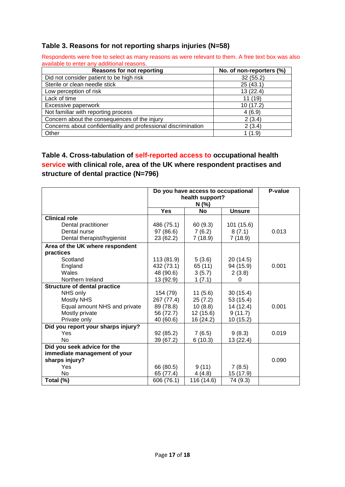#### **Table 3. Reasons for not reporting sharps injuries (N=58)**

Respondents were free to select as many reasons as were relevant to them. A free text box was also available to enter any additional reasons.

| <b>Reasons for not reporting</b>                               | No. of non-reporters (%) |  |
|----------------------------------------------------------------|--------------------------|--|
| Did not consider patient to be high risk                       | 32(55.2)                 |  |
| Sterile or clean needle stick                                  | 25(43.1)                 |  |
| Low perception of risk                                         | 13(22.4)                 |  |
| Lack of time                                                   | (19)                     |  |
| Excessive paperwork                                            | 10(17.2)                 |  |
| Not familiar with reporting process                            | 4(6.9)                   |  |
| Concern about the consequences of the injury                   | 2(3.4)                   |  |
| Concerns about confidentiality and professional discrimination | 2(3.4)                   |  |
| Other                                                          | 1(1.9)                   |  |

### **Table 4. Cross-tabulation of self-reported access to occupational health service with clinical role, area of the UK where respondent practises and structure of dental practice (N=796)**

|                                     | Do you have access to occupational<br>health support?<br>N (%) |            |               | P-value |
|-------------------------------------|----------------------------------------------------------------|------------|---------------|---------|
|                                     | <b>Yes</b>                                                     | <b>No</b>  | <b>Unsure</b> |         |
| <b>Clinical role</b>                |                                                                |            |               |         |
| Dental practitioner                 | 486 (75.1)                                                     | 60(9.3)    | 101 (15.6)    |         |
| Dental nurse                        | 97 (86.6)                                                      | 7(6.2)     | 8(7.1)        | 0.013   |
| Dental therapist/hygienist          | 23(62.2)                                                       | 7(18.9)    | 7(18.9)       |         |
| Area of the UK where respondent     |                                                                |            |               |         |
| practices                           |                                                                |            |               |         |
| Scotland                            | 113 (81.9)                                                     | 5(3.6)     | 20 (14.5)     |         |
| England                             | 432 (73.1)                                                     | 65 (11)    | 94 (15.9)     | 0.001   |
| Wales                               | 48 (90.6)                                                      | 3(5.7)     | 2(3.8)        |         |
| Northern Ireland                    | 13 (92.9)                                                      | 1(7.1)     | 0             |         |
| <b>Structure of dental practice</b> |                                                                |            |               |         |
| NHS only                            | 154 (79)                                                       | 11(5.6)    | 30(15.4)      |         |
| <b>Mostly NHS</b>                   | 267 (77.4)                                                     | 25 (7.2)   | 53 (15.4)     |         |
| Equal amount NHS and private        | 89 (78.8)                                                      | 10(8.8)    | 14 (12.4)     | 0.001   |
| Mostly private                      | 56 (72.7)                                                      | 12(15.6)   | 9(11.7)       |         |
| Private only                        | 40 (60.6)                                                      | 16 (24.2)  | 10 (15.2)     |         |
| Did you report your sharps injury?  |                                                                |            |               |         |
| Yes                                 | 92 (85.2)                                                      | 7(6.5)     | 9(8.3)        | 0.019   |
| <b>No</b>                           | 39 (67.2)                                                      | 6(10.3)    | 13 (22.4)     |         |
| Did you seek advice for the         |                                                                |            |               |         |
| immediate management of your        |                                                                |            |               |         |
| sharps injury?                      |                                                                |            |               | 0.090   |
| Yes                                 | 66 (80.5)                                                      | 9(11)      | 7(8.5)        |         |
| <b>No</b>                           | 65 (77.4)                                                      | 4(4.8)     | 15 (17.9)     |         |
| Total (%)                           | 606 (76.1)                                                     | 116 (14.6) | 74 (9.3)      |         |